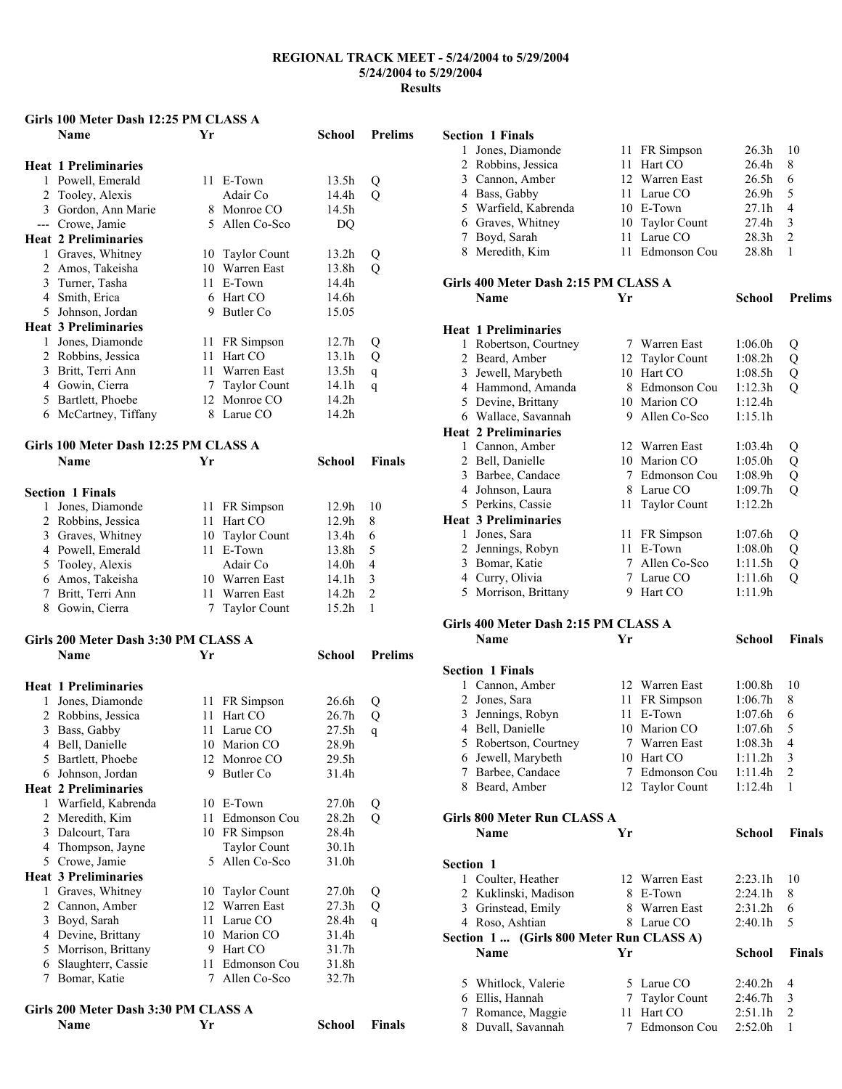### **Girls 100 Meter Dash 12:25 PM CLASS A**

|              | Dash Theo Line<br>Name                 | Yr |                               | School            | <b>Prelims</b> |
|--------------|----------------------------------------|----|-------------------------------|-------------------|----------------|
|              |                                        |    |                               |                   |                |
|              | <b>Heat 1 Preliminaries</b>            |    |                               |                   |                |
|              | 1 Powell, Emerald                      |    | 11 E-Town                     | 13.5h             | Q              |
|              | 2 Tooley, Alexis                       |    | Adair Co                      | 14.4h             | $\overline{Q}$ |
|              | 3 Gordon, Ann Marie                    |    | 8 Monroe CO                   | 14.5h             |                |
|              | --- Crowe, Jamie                       |    | 5 Allen Co-Sco                | DQ                |                |
|              | <b>Heat 2 Preliminaries</b>            |    |                               |                   |                |
| $\mathbf{1}$ | Graves, Whitney                        |    | 10 Taylor Count               | 13.2 <sub>h</sub> | Q              |
|              | 2 Amos, Takeisha                       |    | 10 Warren East                | 13.8h             | Q              |
|              | 3 Turner, Tasha                        |    | 11 E-Town                     | 14.4h             |                |
|              | 4 Smith, Erica                         |    | 6 Hart CO                     | 14.6h             |                |
|              | 5 Johnson, Jordan                      |    | 9 Butler Co                   | 15.05             |                |
|              | <b>Heat 3 Preliminaries</b>            |    |                               |                   |                |
| $\mathbf{1}$ | Jones, Diamonde                        |    | 11 FR Simpson                 | 12.7 <sub>h</sub> | Q              |
|              | 2 Robbins, Jessica                     | 11 | Hart CO                       | 13.1 <sub>h</sub> | Q              |
|              | 3 Britt, Terri Ann                     |    | 11 Warren East                | 13.5 <sub>h</sub> | q              |
|              | 4 Gowin, Cierra                        | 7  | <b>Taylor Count</b>           | 14.1 <sub>h</sub> | q              |
|              | 5 Bartlett, Phoebe                     |    | 12 Monroe CO                  | 14.2h             |                |
|              | 6 McCartney, Tiffany                   |    | 8 Larue CO                    | 14.2h             |                |
|              | Girls 100 Meter Dash 12:25 PM CLASS A  |    |                               |                   |                |
|              | <b>Name</b>                            | Yr |                               | <b>School</b>     | <b>Finals</b>  |
|              | <b>Section 1 Finals</b>                |    |                               |                   |                |
| 1            |                                        |    |                               | 12.9h             | 10             |
|              | Jones, Diamonde                        | 11 | 11 FR Simpson<br>Hart CO      | 12.9h             | 8              |
|              | 2 Robbins, Jessica                     | 10 |                               | 13.4h             | 6              |
|              | 3 Graves, Whitney                      | 11 | <b>Taylor Count</b><br>E-Town | 13.8h             | 5              |
|              | 4 Powell, Emerald                      |    | Adair Co                      | 14.0h             | $\overline{4}$ |
|              | 5 Tooley, Alexis                       |    | 10 Warren East                | 14.1h             | 3              |
|              | 6 Amos, Takeisha<br>7 Britt, Terri Ann |    | 11 Warren East                | 14.2h             | $\overline{c}$ |
|              |                                        |    |                               |                   |                |
|              | 8 Gowin, Cierra                        | 7  | <b>Taylor Count</b>           | 15.2h             | $\mathbf{1}$   |
|              | Girls 200 Meter Dash 3:30 PM CLASS A   |    |                               |                   |                |
|              | <b>Name</b>                            | Yr |                               | School            | <b>Prelims</b> |

|                                      | <b>Heat 1 Preliminaries</b> |    |                     |                   |   |  |  |
|--------------------------------------|-----------------------------|----|---------------------|-------------------|---|--|--|
| 1                                    | Jones, Diamonde             | 11 | FR Simpson          | 26.6h             | Q |  |  |
| $\mathfrak{D}_{\mathfrak{p}}$        | Robbins, Jessica            | 11 | Hart CO             | 26.7 <sub>h</sub> | Q |  |  |
| 3                                    | Bass, Gabby                 | 11 | Larue CO            | 27.5h             | q |  |  |
| 4                                    | Bell, Danielle              | 10 | Marion CO           | 28.9 <sub>h</sub> |   |  |  |
| 5                                    | Bartlett, Phoebe            | 12 | Monroe CO           | 29.5 <sub>h</sub> |   |  |  |
| 6                                    | Johnson, Jordan             | 9  | Butler Co           | 31.4h             |   |  |  |
|                                      | <b>Heat 2 Preliminaries</b> |    |                     |                   |   |  |  |
| 1                                    | Warfield, Kabrenda          | 10 | E-Town              | 27.0h             | Q |  |  |
| 2                                    | Meredith, Kim               | 11 | Edmonson Cou        | 28.2 <sub>h</sub> | Q |  |  |
| 3                                    | Dalcourt, Tara              | 10 | FR Simpson          | 28.4h             |   |  |  |
| 4                                    | Thompson, Jayne             |    | <b>Taylor Count</b> | 30.1 <sub>h</sub> |   |  |  |
|                                      | 5 Crowe, Jamie              |    | 5 Allen Co-Sco      | 31.0h             |   |  |  |
|                                      | <b>Heat 3 Preliminaries</b> |    |                     |                   |   |  |  |
| 1                                    | Graves, Whitney             | 10 | <b>Taylor Count</b> | 27.0 <sub>h</sub> | Q |  |  |
| 2                                    | Cannon, Amber               | 12 | Warren East         | 27.3h             | Q |  |  |
| 3                                    | Boyd, Sarah                 | 11 | Larue CO            | 28.4h             | q |  |  |
| 4                                    | Devine, Brittany            | 10 | Marion CO           | 31.4h             |   |  |  |
| 5.                                   | Morrison, Brittany          | 9  | Hart CO             | 31.7h             |   |  |  |
| 6                                    | Slaughterr, Cassie          | 11 | Edmonson Cou        | 31.8h             |   |  |  |
| 7                                    | Bomar, Katie                | 7  | Allen Co-Sco        | 32.7 <sub>h</sub> |   |  |  |
| Girls 200 Meter Dash 3:30 PM CLASS A |                             |    |                     |                   |   |  |  |

**Name Yr School Finals** 

### **Section 1 Finals**

| 1 Jones, Diamonde    | 11 FR Simpson   | $26.3h$ 10        |     |
|----------------------|-----------------|-------------------|-----|
| 2 Robbins, Jessica   | 11 Hart CO      | 26.4 <sub>h</sub> | 8   |
| 3 Cannon, Amber      | 12 Warren East  | 26.5 <sub>h</sub> | 6   |
| 4 Bass, Gabby        | 11 Larue CO     | 26.9 <sub>h</sub> | - 5 |
| 5 Warfield, Kabrenda | 10 E-Town       | 27.1h             | 4   |
| 6 Graves, Whitney    | 10 Taylor Count | 27.4 <sub>h</sub> | 3   |
| 7 Boyd, Sarah        | 11 Larue CO     | 28.3 <sub>h</sub> |     |
| 8 Meredith, Kim      | 11 Edmonson Cou | 28.8h             |     |

# **Girls 400 Meter Dash 2:15 PM CLASS A**

|                  | Name                                   | Yr |                     | School  | <b>Prelims</b> |
|------------------|----------------------------------------|----|---------------------|---------|----------------|
|                  | <b>Heat 1 Preliminaries</b>            |    |                     |         |                |
| 1                | Robertson, Courtney                    |    | 7 Warren East       | 1:06.0h | Q              |
| $\overline{2}$   | Beard, Amber                           |    | 12 Taylor Count     | 1:08.2h | Q              |
| 3                | Jewell, Marybeth                       |    | 10 Hart CO          | 1:08.5h | $\overline{Q}$ |
|                  | 4 Hammond, Amanda                      |    | 8 Edmonson Cou      | 1:12.3h | Q              |
|                  | 5 Devine, Brittany                     |    | 10 Marion CO        | 1:12.4h |                |
|                  | 6 Wallace, Savannah                    |    | 9 Allen Co-Sco      | 1:15.1h |                |
|                  | <b>Heat 2 Preliminaries</b>            |    |                     |         |                |
|                  | 1 Cannon, Amber                        |    | 12 Warren East      | 1:03.4h | Q              |
|                  | 2 Bell, Danielle                       |    | 10 Marion CO        | 1:05.0h | Q              |
| 3                | Barbee, Candace                        |    | 7 Edmonson Cou      | 1:08.9h | $\overline{Q}$ |
| $\overline{4}$   | Johnson, Laura                         |    | 8 Larue CO          | 1:09.7h | $\tilde{Q}$    |
|                  | 5 Perkins, Cassie                      | 11 | <b>Taylor Count</b> | 1:12.2h |                |
|                  | <b>Heat 3 Preliminaries</b>            |    |                     |         |                |
| 1                | Jones, Sara                            | 11 | FR Simpson          | 1:07.6h | Q              |
| 2                | Jennings, Robyn                        | 11 | E-Town              | 1:08.0h | Q              |
| 3                | Bomar, Katie                           |    | 7 Allen Co-Sco      | 1:11.5h | Q              |
|                  | 4 Curry, Olivia                        |    | 7 Larue CO          | 1:11.6h | Q              |
| 5                | Morrison, Brittany                     |    | 9 Hart CO           | 1:11.9h |                |
|                  | Girls 400 Meter Dash 2:15 PM CLASS A   |    |                     |         |                |
|                  | <b>Name</b>                            | Yr |                     | School  | <b>Finals</b>  |
|                  | <b>Section 1 Finals</b>                |    |                     |         |                |
| 1                | Cannon, Amber                          |    | 12 Warren East      | 1:00.8h | 10             |
| $\overline{c}$   | Jones, Sara                            | 11 | FR Simpson          | 1:06.7h | 8              |
| 3                | Jennings, Robyn                        | 11 | E-Town              | 1:07.6h | 6              |
|                  | 4 Bell, Danielle                       |    | 10 Marion CO        | 1:07.6h | 5              |
| 5                | Robertson, Courtney                    |    | 7 Warren East       | 1:08.3h | $\overline{4}$ |
|                  | 6 Jewell, Marybeth                     |    | 10 Hart CO          | 1:11.2h | 3              |
|                  |                                        |    |                     |         |                |
| 7                |                                        |    | 7 Edmonson Cou      | 1:11.4h | 2              |
| 8                | Barbee, Candace<br>Beard, Amber        | 12 | <b>Taylor Count</b> | 1:12.4h | $\mathbf{1}$   |
|                  | Girls 800 Meter Run CLASS A            |    |                     |         |                |
|                  | <b>Name</b>                            | Yr |                     | School  | <b>Finals</b>  |
| <b>Section 1</b> |                                        |    |                     |         |                |
|                  |                                        |    | 12 Warren East      | 2:23.1h | 10             |
| $\overline{c}$   | 1 Coulter, Heather                     |    | 8 E-Town            | 2:24.1h | 8              |
| 3                | Kuklinski, Madison<br>Grinstead, Emily |    | 8 Warren East       | 2:31.2h | 6              |

# **Section 1 ...** (Girls 800 Meter Run CLASS A)<br>Name Yr

| 5 Whitlock, Valerie | 5 Larue CO     | $2:40.2h$ 4 |               |
|---------------------|----------------|-------------|---------------|
| 6 Ellis, Hannah     | 7 Taylor Count | 2:46.7h     | -3            |
| 7 Romance, Maggie   | 11 Hart CO     | 2:51.1h     | $\mathcal{D}$ |
| 8 Duvall, Savannah  | 7 Edmonson Cou | $2.52$ 0h   |               |

**School Finals**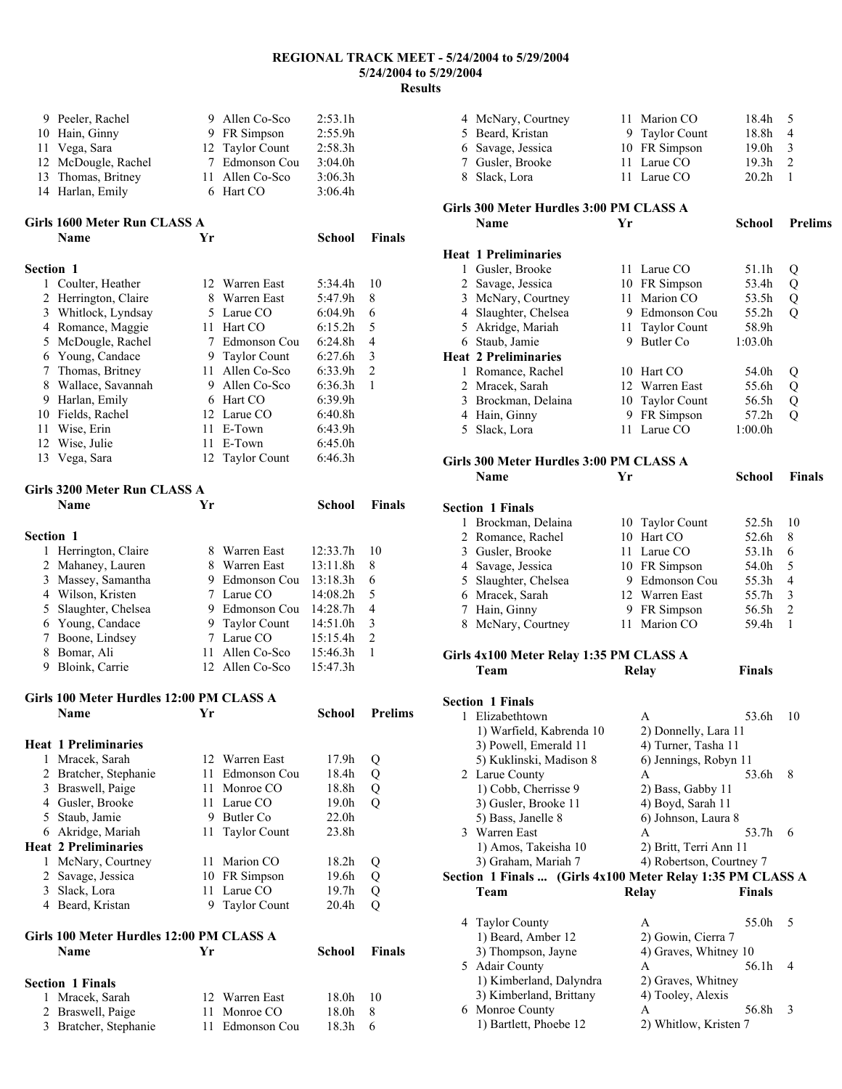| 9 Peeler, Rachel    | 9 Allen Co-Sco  | 2:53.1h |
|---------------------|-----------------|---------|
| 10 Hain, Ginny      | 9 FR Simpson    | 2:55.9h |
| 11 Vega, Sara       | 12 Taylor Count | 2:58.3h |
| 12 McDougle, Rachel | 7 Edmonson Cou  | 3:04.0h |
| 13 Thomas, Britney  | 11 Allen Co-Sco | 3:06.3h |
| 14 Harlan, Emily    | 6 Hart CO       | 3:06.4h |

## **Girls 1600 Meter Run CLASS A**

|                  | <b>Name</b>          | Yr  |                 | School              | <b>Finals</b>  |
|------------------|----------------------|-----|-----------------|---------------------|----------------|
| <b>Section 1</b> |                      |     |                 |                     |                |
| 1                | Coulter, Heather     |     | 12 Warren East  | 5:34.4h             | 10             |
|                  | 2 Herrington, Claire | 8   | Warren East     | 5:47.9h             | 8              |
| 3                | Whitlock, Lyndsay    |     | 5 Larue CO      | 6:04.9h             | 6              |
| 4                | Romance, Maggie      | 11  | Hart CO         | 6:15.2h             | 5              |
|                  | 5 McDougle, Rachel   | 7   | Edmonson Cou    | 6:24.8h             | 4              |
| 6                | Young, Candace       |     | 9 Taylor Count  | 6:27.6h             | 3              |
| 7                | Thomas, Britney      | 11. | Allen Co-Sco    | 6:33.9h             | $\overline{2}$ |
| 8                | Wallace, Savannah    | 9   | Allen Co-Sco    | 6:36.3h             | 1              |
| 9                | Harlan, Emily        | 6   | Hart CO         | 6:39.9h             |                |
| 10               | Fields, Rachel       |     | 12 Larue CO     | 6:40.8 <sub>h</sub> |                |
| 11               | Wise, Erin           | 11  | E-Town          | 6:43.9h             |                |
| 12               | Wise, Julie          | 11  | E-Town          | 6:45.0h             |                |
| 13               | Vega, Sara           |     | 12 Taylor Count | 6:46.3h             |                |

## Girls 3200 Meter Run CLASS A

|                  | Girls 3200 Meter Run CLASS A |    |                 |          |                |  |  |
|------------------|------------------------------|----|-----------------|----------|----------------|--|--|
|                  | Name                         | Yr |                 | School   | <b>Finals</b>  |  |  |
| <b>Section 1</b> |                              |    |                 |          |                |  |  |
| l.               | Herrington, Claire           |    | Warren East     | 12:33.7h | 10             |  |  |
|                  | 2 Mahaney, Lauren            | 8  | Warren East     | 13:11.8h | 8              |  |  |
|                  | 3 Massey, Samantha           | 9  | Edmonson Cou    | 13:18.3h | 6              |  |  |
|                  | 4 Wilson, Kristen            |    | 7 Larue CO      | 14:08.2h | 5              |  |  |
|                  | 5 Slaughter, Chelsea         | 9  | Edmonson Cou    | 14:28.7h | 4              |  |  |
|                  | 6 Young, Candace             |    | 9 Taylor Count  | 14:51.0h | 3              |  |  |
|                  | Boone, Lindsey               |    | Larue CO        | 15:15.4h | $\mathfrak{D}$ |  |  |
| 8                | Bomar, Ali                   | 11 | Allen Co-Sco    | 15:46.3h | 1              |  |  |
| 9                | Bloink, Carrie               |    | 12 Allen Co-Sco | 15:47.3h |                |  |  |

# **Girls 100 Meter Hurdles 12:00 PM CLASS A**

|   | <b>Name</b>                              | Yr  |                     | School            | <b>Prelims</b> |
|---|------------------------------------------|-----|---------------------|-------------------|----------------|
|   | <b>Heat 1 Preliminaries</b>              |     |                     |                   |                |
| 1 | Mracek, Sarah                            |     | 12 Warren East      | 17.9h             | Q              |
| 2 | Bratcher, Stephanie                      |     | 11 Edmonson Cou     | 18.4h             | Q              |
| 3 | Braswell, Paige                          | 11  | Monroe CO           | 18.8h             | Q              |
| 4 | Gusler, Brooke                           |     | 11 Larue CO         | 19.0h             | Q              |
|   | 5 Staub, Jamie                           | 9   | Butler Co           | 22.0 <sub>h</sub> |                |
|   | 6 Akridge, Mariah                        | 11. | <b>Taylor Count</b> | 23.8h             |                |
|   | <b>Heat 2 Preliminaries</b>              |     |                     |                   |                |
| 1 | McNary, Courtney                         |     | 11 Marion CO        | 18.2h             | Q              |
| 2 | Savage, Jessica                          |     | 10 FR Simpson       | 19.6h             | Q              |
| 3 | Slack, Lora                              | 11  | Larue CO            | 19.7 <sub>h</sub> | Q              |
| 4 | Beard, Kristan                           | 9   | <b>Taylor Count</b> | 20.4 <sub>h</sub> | Q              |
|   | Girls 100 Meter Hurdles 12:00 PM CLASS A |     |                     |                   |                |

| Girls 100 Meter Hurdles 12:00 PM CLASS A |                         |    |                 |                   |        |  |  |
|------------------------------------------|-------------------------|----|-----------------|-------------------|--------|--|--|
|                                          | <b>Name</b>             | Yг |                 | School            | Finals |  |  |
|                                          | <b>Section 1 Finals</b> |    |                 |                   |        |  |  |
|                                          | 1 Mracek, Sarah         |    | 12 Warren East  | 18 Oh             | -10    |  |  |
|                                          | 2 Braswell, Paige       |    | 11 Monroe CO    | 18.0h             | 8      |  |  |
|                                          | 3 Bratcher, Stephanie   |    | 11 Edmonson Cou | 18 <sup>3</sup> h | 6      |  |  |

| 4 McNary, Courtney | 11 Marion CO   | $18.4h - 5$       |                |
|--------------------|----------------|-------------------|----------------|
| 5 Beard, Kristan   | 9 Taylor Count | 18.8h             | $\overline{4}$ |
| 6 Savage, Jessica  | 10 FR Simpson  | $19.0h - 3$       |                |
| 7 Gusler, Brooke   | 11 Larue CO    | 19.3 <sub>h</sub> | - 2            |
| 8 Slack, Lora      | 11 Larue CO    | 20.2 <sub>h</sub> | 1              |

## **Girls 300 Meter Hurdles 3:00 PM CLASS A**

|   | <b>Name</b>                 | Yг  |                     | School            | <b>Prelims</b> |
|---|-----------------------------|-----|---------------------|-------------------|----------------|
|   | <b>Heat 1 Preliminaries</b> |     |                     |                   |                |
|   | Gusler, Brooke              |     | 11 Larue CO         | 51.1h             | Q              |
|   | 2 Savage, Jessica           |     | 10 FR Simpson       | 53.4h             | Q              |
| 3 | McNary, Courtney            | 11. | Marion CO           | 53.5h             | Q              |
| 4 | Slaughter, Chelsea          | 9   | Edmonson Cou        | 55.2 <sub>h</sub> | Q              |
| 5 | Akridge, Mariah             |     | 11 Taylor Count     | 58.9h             |                |
| 6 | Staub, Jamie                | 9   | Butler Co.          | 1:03.0h           |                |
|   | <b>Heat 2 Preliminaries</b> |     |                     |                   |                |
| 1 | Romance, Rachel             | 10  | Hart CO             | 54.0h             | Q              |
| 2 | Mracek, Sarah               |     | 12 Warren East      | 55.6h             | Q              |
| 3 | Brockman, Delaina           | 10  | <b>Taylor Count</b> | 56.5h             | Q              |
| 4 | Hain, Ginny                 | 9   | FR Simpson          | 57.2 <sub>h</sub> | Q              |
| 5 | Slack, Lora                 |     | 11 Larue CO         | 1:00.0h           |                |
|   |                             |     |                     |                   |                |

### **Girls 300 Meter Hurdles 3:00 PM CLASS A**

|   | GILIS 500 METER THULUIES 5.00 T M CLASS A                  |    |                          |               |                |
|---|------------------------------------------------------------|----|--------------------------|---------------|----------------|
|   | <b>Name</b>                                                | Yr |                          | <b>School</b> | <b>Finals</b>  |
|   | <b>Section 1 Finals</b>                                    |    |                          |               |                |
| 1 | Brockman, Delaina                                          |    | 10 Taylor Count          | 52.5h         | 10             |
| 2 | Romance, Rachel                                            |    | 10 Hart CO               | 52.6h         | 8              |
|   | 3 Gusler, Brooke                                           |    | 11 Larue CO              | 53.1h         | 6              |
|   | 4 Savage, Jessica                                          |    | 10 FR Simpson            | 54.0h         | 5              |
|   | 5 Slaughter, Chelsea                                       |    | 9 Edmonson Cou           | 55.3h         | $\overline{4}$ |
|   | 6 Mracek, Sarah                                            |    | 12 Warren East           | 55.7h         | 3              |
| 7 | Hain, Ginny                                                |    | 9 FR Simpson             | 56.5h         | $\overline{2}$ |
|   | 8 McNary, Courtney                                         | 11 | Marion CO                | 59.4h         | 1              |
|   | Girls 4x100 Meter Relay 1:35 PM CLASS A                    |    |                          |               |                |
|   | Team                                                       |    | Relay                    | <b>Finals</b> |                |
|   | <b>Section 1 Finals</b>                                    |    |                          |               |                |
|   | 1 Elizabethtown                                            |    | A                        | 53.6h         | 10             |
|   | 1) Warfield, Kabrenda 10                                   |    | 2) Donnelly, Lara 11     |               |                |
|   | 3) Powell, Emerald 11                                      |    | 4) Turner, Tasha 11      |               |                |
|   | 5) Kuklinski, Madison 8                                    |    | 6) Jennings, Robyn 11    |               |                |
|   | 2 Larue County                                             |    | A                        | 53.6h         | 8              |
|   | 1) Cobb, Cherrisse 9                                       |    | 2) Bass, Gabby 11        |               |                |
|   | 3) Gusler, Brooke 11                                       |    | 4) Boyd, Sarah 11        |               |                |
|   | 5) Bass, Janelle 8                                         |    | 6) Johnson, Laura 8      |               |                |
| 3 | Warren East                                                |    | A                        | 53.7h         | 6              |
|   | 1) Amos, Takeisha 10                                       |    | 2) Britt, Terri Ann 11   |               |                |
|   | 3) Graham, Mariah 7                                        |    | 4) Robertson, Courtney 7 |               |                |
|   | Section 1 Finals  (Girls 4x100 Meter Relay 1:35 PM CLASS A |    |                          |               |                |
|   | Team                                                       |    | Relay                    | <b>Finals</b> |                |
|   | 4 Taylor County                                            |    | A                        | 55.0h         | 5              |
|   | 1) Beard, Amber 12                                         |    | 2) Gowin, Cierra 7       |               |                |
|   | 3) Thompson, Jayne                                         |    | 4) Graves, Whitney 10    |               |                |
|   | 5 Adair County                                             |    | A                        | 56.1h         | 4              |
|   | 1) Kimberland, Dalyndra                                    |    | 2) Graves, Whitney       |               |                |
|   | 3) Kimberland, Brittany                                    |    | 4) Tooley, Alexis        |               |                |
|   | 6 Monroe County                                            |    | A                        | 56.8h         | 3              |
|   | 1) Bartlett, Phoebe 12                                     |    | 2) Whitlow, Kristen 7    |               |                |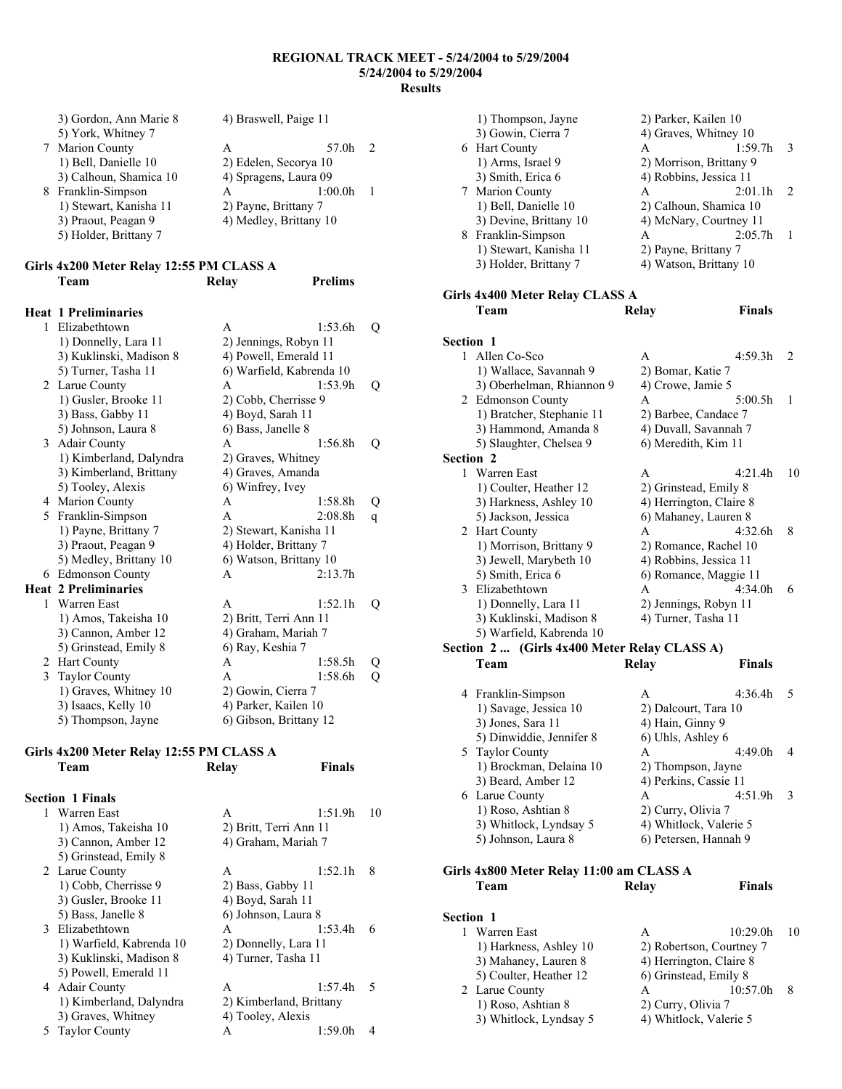| 3) Gordon, Ann Marie 8 | 4) Braswell, Paige 11  |         |   |
|------------------------|------------------------|---------|---|
| 5) York, Whitney 7     |                        |         |   |
| 7 Marion County        | А                      | 57.0h   | 2 |
| 1) Bell, Danielle 10   | 2) Edelen, Secorya 10  |         |   |
| 3) Calhoun, Shamica 10 | 4) Spragens, Laura 09  |         |   |
| 8 Franklin-Simpson     | А                      | 1:00.0h |   |
| 1) Stewart, Kanisha 11 | 2) Payne, Brittany 7   |         |   |
| 3) Praout, Peagan 9    | 4) Medley, Brittany 10 |         |   |
| 5) Holder, Brittany 7  |                        |         |   |

| Girls 4x200 Meter Relay 12:55 PM CLASS A |       |                |
|------------------------------------------|-------|----------------|
| Team                                     | Relay | <b>Prelims</b> |

### **Heat 1 Preliminaries**

| 1  | Elizabethtown               | A                        | 1:53.6h                | Q |
|----|-----------------------------|--------------------------|------------------------|---|
|    | 1) Donnelly, Lara 11        | 2) Jennings, Robyn 11    |                        |   |
|    | 3) Kuklinski, Madison 8     |                          | 4) Powell, Emerald 11  |   |
|    | 5) Turner, Tasha 11         | 6) Warfield, Kabrenda 10 |                        |   |
| 2  | Larue County                | A                        | 1:53.9h                | Q |
|    | 1) Gusler, Brooke 11        |                          | 2) Cobb, Cherrisse 9   |   |
|    | 3) Bass, Gabby 11           | 4) Boyd, Sarah 11        |                        |   |
|    | 5) Johnson, Laura 8         | 6) Bass, Janelle 8       |                        |   |
| 3  | Adair County                | A                        | 1:56.8h                | Q |
|    | 1) Kimberland, Dalyndra     |                          | 2) Graves, Whitney     |   |
|    | 3) Kimberland, Brittany     |                          | 4) Graves, Amanda      |   |
|    | 5) Tooley, Alexis           | 6) Winfrey, Ivey         |                        |   |
| 4  | <b>Marion County</b>        | А                        | 1:58.8h                | Q |
| 5. | Franklin-Simpson            | A                        | 2:08.8h                | q |
|    | 1) Payne, Brittany 7        |                          | 2) Stewart, Kanisha 11 |   |
|    | 3) Praout, Peagan 9         |                          | 4) Holder, Brittany 7  |   |
|    | 5) Medley, Brittany 10      |                          | 6) Watson, Brittany 10 |   |
| 6  | <b>Edmonson County</b>      | A                        | 2:13.7h                |   |
|    | <b>Heat 2 Preliminaries</b> |                          |                        |   |
| 1  | Warren East                 | A                        | 1:52.1h                | Q |
|    | 1) Amos, Takeisha 10        |                          | 2) Britt, Terri Ann 11 |   |
|    | 3) Cannon, Amber 12         |                          | 4) Graham, Mariah 7    |   |
|    | 5) Grinstead, Emily 8       | 6) Ray, Keshia 7         |                        |   |
| 2  | Hart County                 | A                        | 1:58.5h                | Q |
| 3  | <b>Taylor County</b>        | A                        | 1:58.6h                | Q |
|    | 1) Graves, Whitney 10       | 2) Gowin, Cierra 7       |                        |   |
|    | 3) Isaacs, Kelly 10         |                          | 4) Parker, Kailen 10   |   |
|    | 5) Thompson, Jayne          |                          | 6) Gibson, Brittany 12 |   |

### **Girls 4x200 Meter Relay 12:55 PM CLASS A**

|   | Team                     | Relay                  | Finals                  |    |
|---|--------------------------|------------------------|-------------------------|----|
|   | <b>Section 1 Finals</b>  |                        |                         |    |
|   | 1 Warren East            | A                      | 1:51.9h                 | 10 |
|   | 1) Amos, Takeisha 10     | 2) Britt, Terri Ann 11 |                         |    |
|   | 3) Cannon, Amber 12      | 4) Graham, Mariah 7    |                         |    |
|   | 5) Grinstead, Emily 8    |                        |                         |    |
|   | 2 Larue County           | A                      | 1:52.1h                 | 8  |
|   | 1) Cobb, Cherrisse 9     | 2) Bass, Gabby 11      |                         |    |
|   | 3) Gusler, Brooke 11     | 4) Boyd, Sarah 11      |                         |    |
|   | 5) Bass, Janelle 8       | 6) Johnson, Laura 8    |                         |    |
|   | 3 Elizabethtown          | A                      | 1:53.4h                 | 6  |
|   | 1) Warfield, Kabrenda 10 | 2) Donnelly, Lara 11   |                         |    |
|   | 3) Kuklinski, Madison 8  | 4) Turner, Tasha 11    |                         |    |
|   | 5) Powell, Emerald 11    |                        |                         |    |
|   | 4 Adair County           | A                      | 1:57.4h                 | 5  |
|   | 1) Kimberland, Dalyndra  |                        | 2) Kimberland, Brittany |    |
|   | 3) Graves, Whitney       | 4) Tooley, Alexis      |                         |    |
| 5 | <b>Taylor County</b>     | Α                      | 1:59.0h                 | 4  |

| 1) Thompson, Jayne     | 2) Parker, Kailen 10    |         |               |
|------------------------|-------------------------|---------|---------------|
| 3) Gowin, Cierra 7     | 4) Graves, Whitney 10   |         |               |
| 6 Hart County          | А                       | 1:59.7h | $\mathcal{R}$ |
| 1) Arms, Israel 9      | 2) Morrison, Brittany 9 |         |               |
| 3) Smith, Erica 6      | 4) Robbins, Jessica 11  |         |               |
| 7 Marion County        | А                       | 2:01.1h | $\mathcal{L}$ |
| 1) Bell, Danielle 10   | 2) Calhoun, Shamica 10  |         |               |
| 3) Devine, Brittany 10 | 4) McNary, Courtney 11  |         |               |
| 8 Franklin-Simpson     | А                       | 2:05.7h |               |
| 1) Stewart, Kanisha 11 | 2) Payne, Brittany 7    |         |               |
| 3) Holder, Brittany 7  | 4) Watson, Brittany 10  |         |               |
|                        |                         |         |               |

### **Girls 4x400 Meter Relay CLASS A Team Relay Finals**

| Section 1 |                                              |                       |                         |    |
|-----------|----------------------------------------------|-----------------------|-------------------------|----|
| 1         | Allen Co-Sco                                 | A                     | 4:59.3h                 | 2  |
|           | 1) Wallace, Savannah 9                       | 2) Bomar, Katie 7     |                         |    |
|           | 3) Oberhelman, Rhiannon 9                    | 4) Crowe, Jamie 5     |                         |    |
|           | 2 Edmonson County                            | A                     | 5:00.5h                 | 1  |
|           | 1) Bratcher, Stephanie 11                    |                       | 2) Barbee, Candace 7    |    |
|           | 3) Hammond, Amanda 8                         |                       | 4) Duvall, Savannah 7   |    |
|           | 5) Slaughter, Chelsea 9                      | 6) Meredith, Kim 11   |                         |    |
| Section 2 |                                              |                       |                         |    |
|           | 1 Warren East                                | A                     | 4:21.4h                 | 10 |
|           | 1) Coulter, Heather 12                       |                       | 2) Grinstead, Emily 8   |    |
|           | 3) Harkness, Ashley 10                       |                       | 4) Herrington, Claire 8 |    |
|           | 5) Jackson, Jessica                          |                       | 6) Mahaney, Lauren 8    |    |
|           | 2 Hart County                                | A                     | 4:32.6h                 | 8  |
|           | 1) Morrison, Brittany 9                      |                       | 2) Romance, Rachel 10   |    |
|           | 3) Jewell, Marybeth 10                       |                       | 4) Robbins, Jessica 11  |    |
|           | 5) Smith, Erica 6                            |                       | 6) Romance, Maggie 11   |    |
|           | 3 Elizabethtown                              | A                     | 4:34.0h                 | 6  |
|           | 1) Donnelly, Lara 11                         |                       | 2) Jennings, Robyn 11   |    |
|           | 3) Kuklinski, Madison 8                      | 4) Turner, Tasha 11   |                         |    |
|           | 5) Warfield, Kabrenda 10                     |                       |                         |    |
|           | Section 2  (Girls 4x400 Meter Relay CLASS A) |                       |                         |    |
|           | Team                                         | Relay                 | <b>Finals</b>           |    |
|           | 4 Franklin-Simpson                           | A                     | 4:36.4h                 | 5  |
|           | 1) Savage, Jessica 10                        | 2) Dalcourt, Tara 10  |                         |    |
|           | 3) Jones, Sara 11                            | 4) Hain, Ginny 9      |                         |    |
|           | 5) Dinwiddie, Jennifer 8                     | 6) Uhls, Ashley 6     |                         |    |
|           | 5 Taylor County                              | А                     | 4:49.0h                 | 4  |
|           | 1) Brockman, Delaina 10                      | 2) Thompson, Jayne    |                         |    |
|           | 3) Beard, Amber 12                           | 4) Perkins, Cassie 11 |                         |    |
|           | 6 Larue County                               | A                     | 4:51.9h                 | 3  |
|           | 1) Roso, Ashtian 8                           | 2) Curry, Olivia 7    |                         |    |
|           | 3) Whitlock, Lyndsay 5                       |                       | 4) Whitlock, Valerie 5  |    |
|           | 5) Johnson, Laura 8                          |                       | 6) Petersen, Hannah 9   |    |
|           | Girls 4x800 Meter Relay 11:00 am CLASS A     |                       |                         |    |
|           | Team                                         | Relay                 | <b>Finals</b>           |    |

### **Section 1**  1 Warren East A 10:29.0h 10<br>1) Harkness, Ashley 10 2) Robertson, Courtney 7 1) Harkness, Ashley 10 2) Robertson, Courtney 7<br>3) Mahaney, Lauren 8 4) Herrington, Claire 8 4) Herrington, Claire 8  $\overline{6}$ ) Grinstead, Emily 8 5) Coulter, Heather 12 6) Grinstead, Emily 8<br>Larue County A 10:57.0h 8 2 Larue County<br>
1) Roso, Ashtian 8 2) Curry, Olivia 7 1) Roso, Ashtian 8 2) Curry, Olivia 7<br>3) Whitlock, Lyndsay 5 4) Whitlock, Valerie 5 3) Whitlock, Lyndsay 5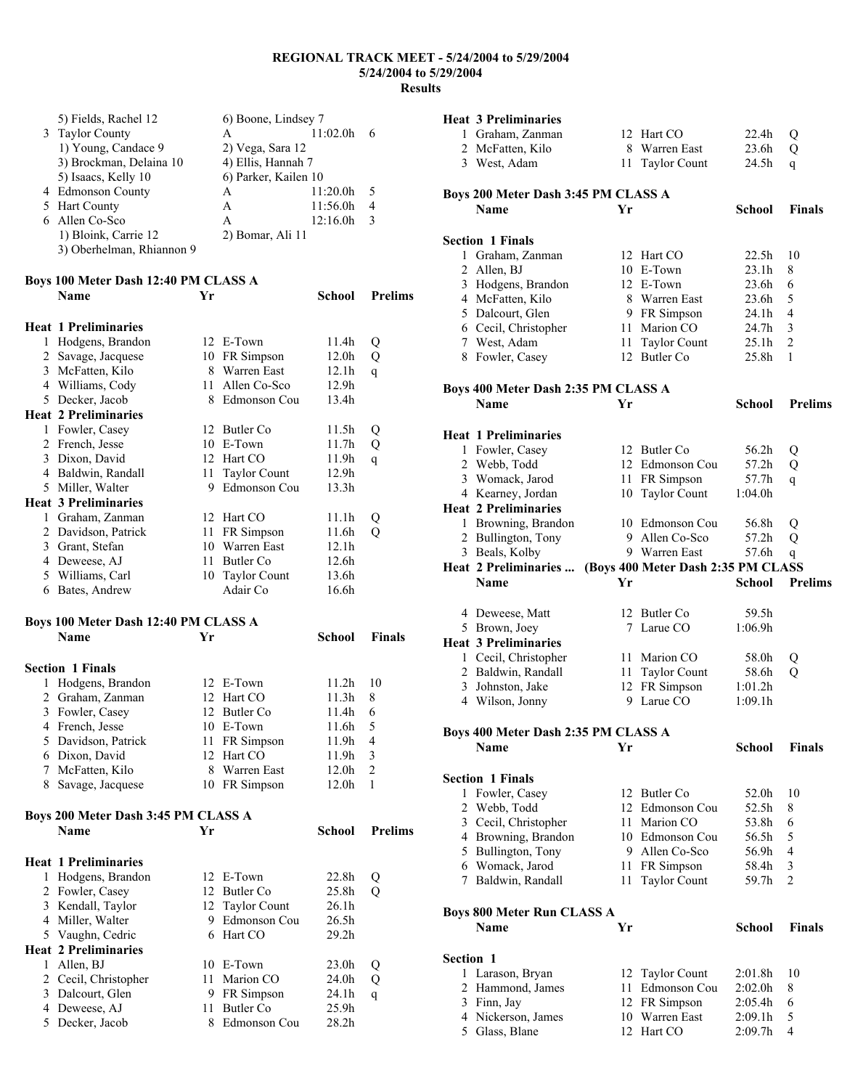|   | 5) Fields, Rachel 12                 |      | 6) Boone, Lindsey 7  |                   |                         |
|---|--------------------------------------|------|----------------------|-------------------|-------------------------|
|   | 3 Taylor County                      |      | A                    | 11:02.0h          | 6                       |
|   | 1) Young, Candace 9                  |      | 2) Vega, Sara 12     |                   |                         |
|   | 3) Brockman, Delaina 10              |      | 4) Ellis, Hannah 7   |                   |                         |
|   | 5) Isaacs, Kelly 10                  |      | 6) Parker, Kailen 10 |                   |                         |
|   | 4 Edmonson County                    |      | A                    | 11:20.0h          | 5                       |
|   | 5 Hart County                        |      | A                    | 11:56.0h          | 4                       |
|   | 6 Allen Co-Sco                       |      | A                    | 12:16.0h          | 3                       |
|   | 1) Bloink, Carrie 12                 |      | 2) Bomar, Ali 11     |                   |                         |
|   | 3) Oberhelman, Rhiannon 9            |      |                      |                   |                         |
|   |                                      |      |                      |                   |                         |
|   | Boys 100 Meter Dash 12:40 PM CLASS A |      |                      |                   |                         |
|   | Name                                 | Yr   |                      | School            | <b>Prelims</b>          |
|   |                                      |      |                      |                   |                         |
|   | <b>Heat 1 Preliminaries</b>          |      |                      |                   |                         |
| 1 | Hodgens, Brandon                     |      | 12 E-Town            | 11.4h             | Q                       |
|   | 2 Savage, Jacquese                   |      | 10 FR Simpson        | 12.0 <sub>h</sub> | Q                       |
|   | 3 McFatten, Kilo                     |      | 8 Warren East        | 12.1h             | q                       |
|   | 4 Williams, Cody                     | 11   | Allen Co-Sco         | 12.9h             |                         |
|   | 5 Decker, Jacob                      |      | 8 Edmonson Cou       | 13.4h             |                         |
|   | <b>Heat 2 Preliminaries</b>          |      |                      |                   |                         |
|   | 1 Fowler, Casey                      |      | 12 Butler Co         | 11.5h             | Q                       |
|   | 2 French, Jesse                      |      | 10 E-Town            | 11.7h             | Q                       |
|   | 3 Dixon, David                       |      | 12 Hart CO           | 11.9h             | q                       |
|   | 4 Baldwin, Randall                   | 11 - | <b>Taylor Count</b>  | 12.9h             |                         |
|   | 5 Miller, Walter                     | 9    | <b>Edmonson Cou</b>  | 13.3h             |                         |
|   | <b>Heat 3 Preliminaries</b>          |      |                      |                   |                         |
|   | 1 Graham, Zanman                     |      | 12 Hart CO           | 11.1h             | Q                       |
|   | 2 Davidson, Patrick                  | 11   | FR Simpson           | 11.6h             | Q                       |
|   | 3 Grant, Stefan                      |      | 10 Warren East       | 12.1h             |                         |
|   | 4 Deweese, AJ                        | 11   | <b>Butler</b> Co     | 12.6h             |                         |
|   | 5 Williams, Carl                     | 10   | <b>Taylor Count</b>  | 13.6h             |                         |
|   | 6 Bates, Andrew                      |      | Adair Co             | 16.6h             |                         |
|   |                                      |      |                      |                   |                         |
|   | Boys 100 Meter Dash 12:40 PM CLASS A |      |                      |                   |                         |
|   | Name                                 | Yr   |                      | School            | <b>Finals</b>           |
|   |                                      |      |                      |                   |                         |
|   | <b>Section 1 Finals</b>              |      |                      |                   |                         |
| 1 | Hodgens, Brandon                     |      | 12 E-Town            | 11.2h             | 10                      |
|   | 2 Graham, Zanman                     |      | 12 Hart CO           | 11.3h             | 8                       |
|   | 3 Fowler, Casey                      |      | 12 Butler Co         | 11.4h             | 6                       |
|   | 4 French, Jesse                      |      | 10 E-Town            | 11.6h             | 5                       |
| 5 | Davidson, Patrick                    | 11   | FR Simpson           | 11.9h             | 4                       |
|   | 6 Dixon, David                       |      | 12 Hart CO           | 11.9h             | $\overline{\mathbf{3}}$ |
| 7 | McFatten, Kilo                       | 8    | Warren East          | 12.0h             | $\overline{2}$          |
| 8 | Savage, Jacquese                     | 10   | FR Simpson           | 12.0h             | 1                       |

| Boys 200 Meter Dash 3:45 PM CLASS A |                             |    |                 |                   |                |  |  |
|-------------------------------------|-----------------------------|----|-----------------|-------------------|----------------|--|--|
|                                     | Name                        | Yr |                 | School            | <b>Prelims</b> |  |  |
|                                     | <b>Heat 1 Preliminaries</b> |    |                 |                   |                |  |  |
| 1                                   | Hodgens, Brandon            |    | 12 E-Town       | 22.8h             | Q              |  |  |
|                                     | 2 Fowler, Casey             |    | 12 Butler Co    | 25.8h             | Q              |  |  |
|                                     | 3 Kendall, Taylor           |    | 12 Taylor Count | 26.1 <sub>h</sub> |                |  |  |
| 4                                   | Miller, Walter              | 9  | Edmonson Cou    | 26.5 <sub>h</sub> |                |  |  |
|                                     | 5 Vaughn, Cedric            | 6  | Hart CO         | 29.2 <sub>h</sub> |                |  |  |
|                                     | <b>Heat 2 Preliminaries</b> |    |                 |                   |                |  |  |
| 1                                   | Allen, BJ                   | 10 | E-Town          | 23.0h             | Q              |  |  |
| 2                                   | Cecil, Christopher          | 11 | Marion CO       | 24.0h             | Q              |  |  |
| 3                                   | Dalcourt, Glen              | 9  | FR Simpson      | 24.1 <sub>h</sub> | q              |  |  |
| 4                                   | Deweese, AJ                 | 11 | Butler Co.      | 25.9 <sub>h</sub> |                |  |  |
| 5                                   | Decker, Jacob               | 8  | Edmonson Cou    | 28.2 <sub>h</sub> |                |  |  |
|                                     |                             |    |                 |                   |                |  |  |

|                | <b>Heat 3 Preliminaries</b>               |      |                                    |                   |                     |
|----------------|-------------------------------------------|------|------------------------------------|-------------------|---------------------|
|                | 1 Graham, Zanman                          |      | 12 Hart CO                         | 22.4h             | Q                   |
|                | 2 McFatten, Kilo                          |      | 8 Warren East                      | 23.6h             | Q                   |
|                | 3 West, Adam                              | 11   | <b>Taylor Count</b>                | 24.5h             | q                   |
|                |                                           |      |                                    |                   |                     |
|                | Boys 200 Meter Dash 3:45 PM CLASS A       |      |                                    |                   |                     |
|                | <b>Name</b>                               | Yr   |                                    | School            | <b>Finals</b>       |
|                | <b>Section 1 Finals</b>                   |      |                                    |                   |                     |
|                | 1 Graham, Zanman                          |      | 12 Hart CO                         | 22.5 <sub>h</sub> | 10                  |
|                | 2 Allen, BJ                               |      | 10 E-Town                          | 23.1 <sub>h</sub> | 8                   |
|                | 3 Hodgens, Brandon                        |      | 12 E-Town                          | 23.6h             | 6                   |
|                | 4 McFatten, Kilo                          |      | 8 Warren East                      | 23.6 <sub>h</sub> | 5                   |
|                | 5 Dalcourt, Glen                          |      | 9 FR Simpson                       | 24.1h             | 4                   |
|                |                                           |      | 11 Marion CO                       |                   | 3                   |
|                | 6 Cecil, Christopher                      |      |                                    | 24.7h             |                     |
|                | 7 West, Adam                              | 11   | <b>Taylor Count</b>                | 25.1h             | $\overline{c}$      |
|                | 8 Fowler, Casey                           | 12   | Butler Co.                         | 25.8h             | 1                   |
|                | Boys 400 Meter Dash 2:35 PM CLASS A       |      |                                    |                   |                     |
|                | <b>Name</b>                               | Yr   |                                    | School            | <b>Prelims</b>      |
|                |                                           |      |                                    |                   |                     |
|                | <b>Heat 1 Preliminaries</b>               |      |                                    |                   |                     |
|                | 1 Fowler, Casey                           |      | 12 Butler Co                       | 56.2h             | Q                   |
|                | 2 Webb, Todd                              |      | 12 Edmonson Cou                    | 57.2h             | Q                   |
|                | 3 Womack, Jarod                           |      | 11 FR Simpson                      | 57.7h             | q                   |
|                | 4 Kearney, Jordan                         |      | 10 Taylor Count                    | 1:04.0h           |                     |
|                | <b>Heat 2 Preliminaries</b>               |      |                                    |                   |                     |
|                | 1 Browning, Brandon                       |      | 10 Edmonson Cou                    | 56.8h             | Q                   |
|                | 2 Bullington, Tony                        |      | 9 Allen Co-Sco                     | 57.2h             | Q                   |
|                | 3 Beals, Kolby                            |      | 9 Warren East                      | 57.6h             | q                   |
|                | Heat 2 Preliminaries                      |      | (Boys 400 Meter Dash 2:35 PM CLASS |                   |                     |
|                |                                           |      |                                    |                   |                     |
|                | Name                                      | Yr   |                                    | School            | <b>Prelims</b>      |
|                |                                           |      |                                    |                   |                     |
|                | 4 Deweese, Matt                           |      | 12 Butler Co                       | 59.5h             |                     |
|                | 5 Brown, Joey                             |      | 7 Larue CO                         | 1:06.9h           |                     |
|                | <b>Heat 3 Preliminaries</b>               |      |                                    |                   |                     |
|                | 1 Cecil, Christopher                      |      | 11 Marion CO                       | 58.0h             |                     |
|                | 2 Baldwin, Randall                        |      |                                    | 58.6h             | Q<br>$\overline{Q}$ |
|                | 3 Johnston, Jake                          |      | 11 Taylor Count                    | 1:01.2h           |                     |
|                | 4 Wilson, Jonny                           | 9    | 12 FR Simpson<br>Larue CO          | 1:09.1h           |                     |
|                |                                           |      |                                    |                   |                     |
|                | Boys 400 Meter Dash 2:35 PM CLASS A       |      |                                    |                   |                     |
|                | Name                                      | Yr   |                                    | School            | <b>Finals</b>       |
|                |                                           |      |                                    |                   |                     |
|                | <b>Section 1 Finals</b>                   |      |                                    |                   |                     |
| 1              | Fowler, Casey                             |      | 12 Butler Co                       | 52.0h             | 10                  |
|                | 2 Webb, Todd                              |      | 12 Edmonson Cou                    | 52.5h             | 8                   |
| $\mathfrak{Z}$ | Cecil, Christopher                        |      | 11 Marion CO                       | 53.8h             | 6                   |
|                | 4 Browning, Brandon                       |      | 10 Edmonson Cou                    | 56.5h             | 5                   |
|                | 5 Bullington, Tony                        |      | 9 Allen Co-Sco                     | 56.9h             | 4                   |
|                | 6 Womack, Jarod                           | 11 - | FR Simpson                         | 58.4h             | 3                   |
|                | 7 Baldwin, Randall                        | 11   | <b>Taylor Count</b>                | 59.7h             | 2                   |
|                |                                           |      |                                    |                   |                     |
|                | <b>Boys 800 Meter Run CLASS A</b><br>Name | Yr   |                                    | <b>School</b>     | Finals              |
|                |                                           |      |                                    |                   |                     |
| Section 1      |                                           |      |                                    |                   |                     |
|                | 1 Larason, Bryan                          | 12   | <b>Taylor Count</b>                | 2:01.8h           | 10                  |
|                | 2 Hammond, James                          | 11   | Edmonson Cou                       | 2:02.0h           | 8                   |
|                | 3 Finn, Jay                               |      | 12 FR Simpson                      | 2:05.4h           | 6                   |
|                | 4 Nickerson, James<br>5 Glass, Blane      | 10   | Warren East                        | 2:09.1h           | 5                   |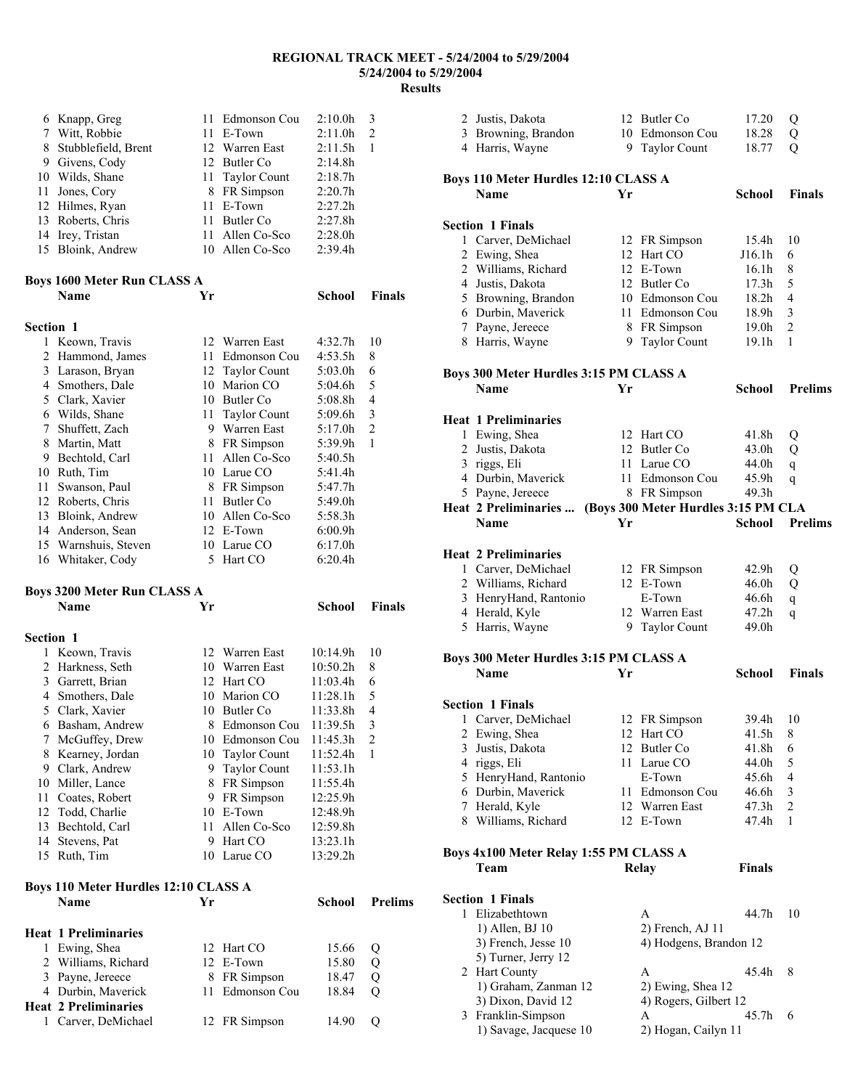|                  | 6 Knapp, Greg                                     | 11 | Edmonson Cou        | 2:10.0h             | 3              |
|------------------|---------------------------------------------------|----|---------------------|---------------------|----------------|
|                  | 7 Witt, Robbie                                    | 11 | E-Town              | 2:11.0h             | 2              |
|                  | 8 Stubblefield, Brent                             |    | 12 Warren East      | 2:11.5h             | 1              |
|                  | 9 Givens, Cody                                    |    | 12 Butler Co        | 2:14.8h             |                |
|                  | 10 Wilds, Shane                                   | 11 | <b>Taylor Count</b> | 2:18.7h             |                |
| 11               | Jones, Cory                                       |    | 8 FR Simpson        | 2:20.7h             |                |
|                  | 12 Hilmes, Ryan                                   | 11 | E-Town              | 2:27.2h             |                |
|                  | 13 Roberts, Chris                                 | 11 | Butler Co           | 2:27.8h             |                |
|                  | 14 Irey, Tristan                                  | 11 | Allen Co-Sco        | 2:28.0h             |                |
|                  | 15 Bloink, Andrew                                 |    | 10 Allen Co-Sco     | 2:39.4h             |                |
|                  |                                                   |    |                     |                     |                |
|                  | <b>Boys 1600 Meter Run CLASS A</b>                |    |                     |                     |                |
|                  | <b>Name</b>                                       | Yr |                     | <b>School</b>       | <b>Finals</b>  |
|                  |                                                   |    |                     |                     |                |
| Section 1        |                                                   |    |                     |                     |                |
|                  | 1 Keown, Travis                                   |    | 12 Warren East      | 4:32.7h             | 10             |
|                  | 2 Hammond, James                                  | 11 | Edmonson Cou        | 4:53.5h             | 8              |
|                  | 3 Larason, Bryan                                  |    | 12 Taylor Count     | 5:03.0h             | 6              |
|                  | 4 Smothers, Dale                                  | 10 | Marion CO           | 5:04.6 <sub>h</sub> | 5              |
|                  | 5 Clark, Xavier                                   |    | 10 Butler Co        | 5:08.8h             | 4              |
|                  | 6 Wilds, Shane                                    | 11 | <b>Taylor Count</b> | 5:09.6h             | 3              |
|                  | 7 Shuffett, Zach                                  |    | 9 Warren East       | 5:17.0h             | $\overline{c}$ |
|                  | 8 Martin, Matt                                    | 8  | FR Simpson          | 5:39.9h             | 1              |
|                  | 9 Bechtold, Carl                                  | 11 | Allen Co-Sco        | 5:40.5h             |                |
|                  | 10 Ruth, Tim                                      | 10 | Larue CO            | 5:41.4h             |                |
|                  | 11 Swanson, Paul                                  |    | 8 FR Simpson        | 5:47.7h             |                |
|                  | 12 Roberts, Chris                                 | 11 | Butler Co           | 5:49.0h             |                |
|                  | 13 Bloink, Andrew                                 | 10 | Allen Co-Sco        | 5:58.3h             |                |
|                  | 14 Anderson, Sean                                 | 12 | E-Town              | 6:00.9h             |                |
|                  | 15 Warnshuis, Steven                              | 10 | Larue CO            | 6:17.0h             |                |
|                  | 16 Whitaker, Cody                                 | 5. | Hart CO             | 6:20.4h             |                |
|                  |                                                   |    |                     |                     |                |
|                  |                                                   |    |                     |                     |                |
|                  |                                                   |    |                     |                     |                |
|                  | <b>Boys 3200 Meter Run CLASS A</b>                |    |                     |                     |                |
|                  | <b>Name</b>                                       | Yr |                     | <b>School</b>       | <b>Finals</b>  |
| <b>Section 1</b> |                                                   |    |                     |                     |                |
|                  | 1 Keown, Travis                                   |    | 12 Warren East      | 10:14.9h            | 10             |
|                  | 2 Harkness, Seth                                  |    | 10 Warren East      | 10:50.2h            | 8              |
|                  | 3 Garrett, Brian                                  |    | 12 Hart CO          | 11:03.4h            | 6              |
|                  | 4 Smothers, Dale                                  |    | 10 Marion CO        | 11:28.1h            | 5              |
|                  | 5 Clark, Xavier                                   |    | 10 Butler Co        | 11:33.8h            | 4              |
|                  | 6 Basham, Andrew                                  |    | 8 Edmonson Cou      | 11:39.5h            | 3              |
|                  | 7 McGuffey, Drew                                  |    | 10 Edmonson Cou     | 11:45.3h            | 2              |
|                  | 8 Kearney, Jordan                                 | 10 | <b>Taylor Count</b> | 11:52.4h            | 1              |
|                  | 9 Clark, Andrew                                   | 9. | <b>Taylor Count</b> | 11:53.1h            |                |
|                  | 10 Miller, Lance                                  | 8  | FR Simpson          | 11:55.4h            |                |
|                  | 11 Coates, Robert                                 | 9  | FR Simpson          | 12:25.9h            |                |
|                  | 12 Todd, Charlie                                  | 10 | E-Town              | 12:48.9h            |                |
|                  | 13 Bechtold, Carl                                 | 11 | Allen Co-Sco        | 12:59.8h            |                |
|                  | 14 Stevens, Pat                                   |    | 9 Hart CO           | 13:23.1h            |                |
|                  | 15 Ruth, Tim                                      |    | 10 Larue CO         | 13:29.2h            |                |
|                  |                                                   |    |                     |                     |                |
|                  | <b>Boys 110 Meter Hurdles 12:10 CLASS A</b>       |    |                     |                     |                |
|                  | <b>Name</b>                                       | Yr |                     | School              | <b>Prelims</b> |
|                  |                                                   |    |                     |                     |                |
|                  | <b>Heat 1 Preliminaries</b>                       |    |                     |                     |                |
|                  | 1 Ewing, Shea                                     |    | 12 Hart CO          | 15.66               | Q              |
|                  | 2 Williams, Richard                               |    | 12 E-Town           | 15.80               | Q              |
|                  | 3 Payne, Jereece                                  | 8  | FR Simpson          | 18.47               | Q              |
|                  | 4 Durbin, Maverick<br><b>Heat 2 Preliminaries</b> | 11 | Edmonson Cou        | 18.84               | Q              |

Carver, DeMichael 12 FR Simpson 14.90 Q

|                | 2 Justis, Dakota                                           |    | 12 Butler Co                        | 17.20             | Q              |
|----------------|------------------------------------------------------------|----|-------------------------------------|-------------------|----------------|
| 3              | Browning, Brandon                                          |    | 10 Edmonson Cou                     | 18.28             | Q              |
|                | 4 Harris, Wayne                                            |    | 9 Taylor Count                      | 18.77             | Q              |
|                |                                                            |    |                                     |                   |                |
|                | <b>Boys 110 Meter Hurdles 12:10 CLASS A</b><br><b>Name</b> | Yr |                                     | <b>School</b>     | <b>Finals</b>  |
|                |                                                            |    |                                     |                   |                |
|                | <b>Section 1 Finals</b>                                    |    |                                     |                   |                |
|                | 1 Carver, DeMichael                                        |    | 12 FR Simpson                       | 15.4h             | 10             |
|                | 2 Ewing, Shea                                              |    | 12 Hart CO                          | J16.1h            | 6              |
| $\overline{2}$ | Williams, Richard                                          |    | 12 E-Town                           | 16.1h             | 8              |
| 4              | Justis, Dakota                                             |    | 12 Butler Co                        | 17.3 <sub>h</sub> | 5              |
|                | 5 Browning, Brandon                                        |    | 10 Edmonson Cou                     | 18.2h             | 4              |
|                | 6 Durbin, Maverick                                         |    | 11 Edmonson Cou                     | 18.9h             | 3              |
|                | 7 Payne, Jereece                                           |    | 8 FR Simpson                        | 19.0h             | $\overline{2}$ |
|                | 8 Harris, Wayne                                            |    | 9 Taylor Count                      | 19.1h             | 1              |
|                | Boys 300 Meter Hurdles 3:15 PM CLASS A                     |    |                                     |                   |                |
|                | Name                                                       | Yr |                                     | <b>School</b>     | <b>Prelims</b> |
|                |                                                            |    |                                     |                   |                |
|                | <b>Heat 1 Preliminaries</b>                                |    | 12 Hart CO                          |                   |                |
| $\overline{2}$ | 1 Ewing, Shea<br>Justis, Dakota                            |    | 12 Butler Co                        | 41.8h<br>43.0h    | Q<br>Q         |
| 3              | riggs, Eli                                                 |    | 11 Larue CO                         | 44.0h             |                |
|                | 4 Durbin, Maverick                                         |    | 11 Edmonson Cou                     | 45.9h             | q<br>q         |
|                | 5 Payne, Jereece                                           |    | 8 FR Simpson                        | 49.3h             |                |
|                | Heat 2 Preliminaries                                       |    | (Boys 300 Meter Hurdles 3:15 PM CLA |                   |                |
|                | Name                                                       | Yr |                                     | School            | <b>Prelims</b> |
|                |                                                            |    |                                     |                   |                |
|                | <b>Heat 2 Preliminaries</b>                                |    |                                     |                   |                |
|                | 1 Carver, DeMichael                                        |    | 12 FR Simpson                       | 42.9h             | Q              |
|                | 2 Williams, Richard                                        |    | 12 E-Town                           | 46.0h             | Q              |
| 3              | HenryHand, Rantonio                                        |    | E-Town                              | 46.6h             | $\mathbf q$    |
|                | 4 Herald, Kyle                                             |    | 12 Warren East                      | 47.2h             | q              |
|                | 5 Harris, Wayne                                            |    | 9 Taylor Count                      | 49.0h             |                |
|                | Boys 300 Meter Hurdles 3:15 PM CLASS A                     |    |                                     |                   |                |
|                | <b>Name</b>                                                | Yr |                                     | <b>School</b>     | <b>Finals</b>  |
|                |                                                            |    |                                     |                   |                |
|                | <b>Section 1 Finals</b>                                    |    | 12 FR Simpson                       |                   |                |
| 2              | 1 Carver, DeMichael<br>Ewing, Shea                         |    |                                     | 39.4h<br>41.5h    | 10<br>8        |
| 3              | Justis, Dakota                                             | 12 | 12 Hart CO<br>Butler Co             | 41.8h             | 6              |
| 4              | riggs, Eli                                                 | 11 | Larue CO                            | 44.0h             | 5              |
| 5              | HenryHand, Rantonio                                        |    | E-Town                              | 45.6h             | 4              |
|                | 6 Durbin, Maverick                                         |    | 11 Edmonson Cou                     | 46.6h             | 3              |
| 7              | Herald, Kyle                                               |    | 12 Warren East                      | 47.3h             | $\overline{2}$ |
| 8              | Williams, Richard                                          |    | 12 E-Town                           | 47.4h             | 1              |
|                |                                                            |    |                                     |                   |                |
|                | Boys 4x100 Meter Relay 1:55 PM CLASS A<br>Team             |    |                                     | <b>Finals</b>     |                |
|                |                                                            |    | Relay                               |                   |                |
|                | <b>Section 1 Finals</b>                                    |    |                                     |                   |                |
|                | 1 Elizabethtown                                            |    | A                                   | 44.7h             | 10             |
|                | 1) Allen, BJ 10                                            |    | 2) French, AJ 11                    |                   |                |
|                | 3) French, Jesse 10                                        |    | 4) Hodgens, Brandon 12              |                   |                |
|                | 5) Turner, Jerry 12                                        |    |                                     |                   |                |
|                | 2 Hart County                                              |    | A                                   | 45.4h             | 8              |
|                | 1) Graham, Zanman 12                                       |    | 2) Ewing, Shea 12                   |                   |                |
|                | 3) Dixon, David 12                                         |    | 4) Rogers, Gilbert 12               |                   |                |
|                | 3 Franklin-Simpson                                         |    | Α                                   | 45.7h             | 6              |

1) Savage, Jacquese 10 2) Hogan, Cailyn 11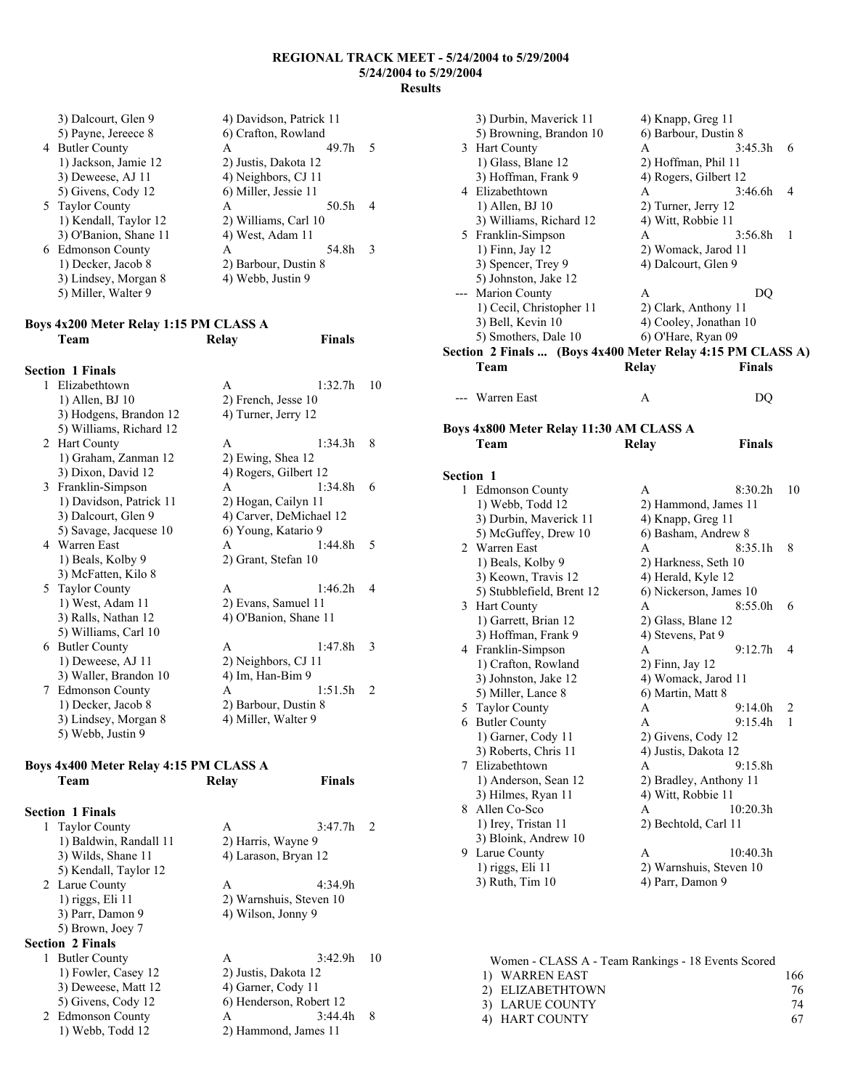**Finals** 

| 3) Dalcourt, Glen 9   | 4) Davidson, Patrick 11 |       |               |
|-----------------------|-------------------------|-------|---------------|
| 5) Payne, Jereece 8   | 6) Crafton, Rowland     |       |               |
| 4 Butler County       | A                       | 49.7h | 5             |
| 1) Jackson, Jamie 12  | 2) Justis, Dakota 12    |       |               |
| 3) Deweese, AJ 11     | 4) Neighbors, CJ 11     |       |               |
| 5) Givens, Cody 12    | 6) Miller, Jessie 11    |       |               |
| 5 Taylor County       | A                       | 50.5h |               |
| 1) Kendall, Taylor 12 | 2) Williams, Carl 10    |       |               |
| 3) O'Banion, Shane 11 | 4) West, Adam 11        |       |               |
| 6 Edmonson County     | А                       | 54.8h | $\mathcal{R}$ |
| 1) Decker, Jacob 8    | 2) Barbour, Dustin 8    |       |               |
| 3) Lindsey, Morgan 8  | 4) Webb, Justin 9       |       |               |
| 5) Miller, Walter 9   |                         |       |               |

# **Boys 4x200 Meter Relay 1:15 PM CLASS A**

|              | <b>Section 1 Finals</b> |                         |    |
|--------------|-------------------------|-------------------------|----|
| $\mathbf{1}$ | Elizabethtown           | 1:32.7h<br>A            | 10 |
|              | 1) Allen, BJ 10         | 2) French, Jesse 10     |    |
|              | 3) Hodgens, Brandon 12  | 4) Turner, Jerry 12     |    |
|              | 5) Williams, Richard 12 |                         |    |
|              | 2 Hart County           | 1:34.3h<br>$\mathsf{A}$ | 8  |
|              | 1) Graham, Zanman 12    | 2) Ewing, Shea 12       |    |
|              | 3) Dixon, David 12      | 4) Rogers, Gilbert 12   |    |
| 3            | Franklin-Simpson        | A<br>1:34.8h            | 6  |
|              | 1) Davidson, Patrick 11 | 2) Hogan, Cailyn 11     |    |
|              | 3) Dalcourt, Glen 9     | 4) Carver, DeMichael 12 |    |
|              | 5) Savage, Jacquese 10  | 6) Young, Katario 9     |    |
|              | 4 Warren East           | 1:44.8h<br>A            | 5  |
|              | 1) Beals, Kolby 9       | 2) Grant, Stefan 10     |    |
|              | 3) McFatten, Kilo 8     |                         |    |
|              | 5 Taylor County         | 1:46.2h<br>$\mathsf{A}$ | 4  |
|              | 1) West, Adam 11        | 2) Evans, Samuel 11     |    |
|              | 3) Ralls, Nathan 12     | 4) O'Banion, Shane 11   |    |
|              | 5) Williams, Carl 10    |                         |    |
| 6            | <b>Butler County</b>    | 1:47.8h<br>A            | 3  |
|              | 1) Deweese, AJ 11       | 2) Neighbors, CJ 11     |    |
|              | 3) Waller, Brandon 10   | 4) Im, Han-Bim 9        |    |
| 7            | <b>Edmonson County</b>  | 1:51.5h<br>$\mathsf{A}$ | 2  |
|              | 1) Decker, Jacob 8      | 2) Barbour, Dustin 8    |    |
|              | 3) Lindsey, Morgan 8    | 4) Miller, Walter 9     |    |
|              | 5) Webb, Justin 9       |                         |    |

### **Boys 4x400 Meter Relay 4:15 PM CLASS A Team Relay Finals**

| <b>Section 1 Finals</b>   |                                            |                         |                |
|---------------------------|--------------------------------------------|-------------------------|----------------|
| 1 Taylor County           | A                                          | 3:47.7h                 | $\mathfrak{D}$ |
| 1) Baldwin, Randall 11    |                                            | 2) Harris, Wayne 9      |                |
|                           | 3) Wilds, Shane 11<br>4) Larason, Bryan 12 |                         |                |
| 5) Kendall, Taylor 12     |                                            |                         |                |
| 2 Larue County            | A                                          | 4:34.9h                 |                |
| $1)$ riggs, Eli $11$      |                                            | 2) Warnshuis, Steven 10 |                |
| 3) Parr, Damon 9          |                                            | 4) Wilson, Jonny 9      |                |
| 5) Brown, Joey 7          |                                            |                         |                |
| <b>Section 2 Finals</b>   |                                            |                         |                |
| <b>Butler County</b><br>1 | A                                          | 3:42.9h                 | 10             |
| 1) Fowler, Casey 12       |                                            | 2) Justis, Dakota 12    |                |
| 3) Deweese, Matt 12       |                                            | 4) Garner, Cody 11      |                |
| 5) Givens, Cody 12        |                                            | 6) Henderson, Robert 12 |                |
| 2 Edmonson County         | A                                          | 3:44.4h                 | 8              |
| 1) Webb, Todd 12          |                                            | 2) Hammond, James 11    |                |

|                  | 3) Durbin, Maverick 11                                                           | 4) Knapp, Greg 11    |                                   |    |
|------------------|----------------------------------------------------------------------------------|----------------------|-----------------------------------|----|
|                  | 5) Browning, Brandon 10                                                          | 6) Barbour, Dustin 8 |                                   |    |
|                  | 3 Hart County                                                                    | A                    | 3:45.3h                           | 6  |
|                  | 1) Glass, Blane 12                                                               | 2) Hoffman, Phil 11  |                                   |    |
|                  | 3) Hoffman, Frank 9                                                              |                      | 4) Rogers, Gilbert 12             |    |
| 4                | Elizabethtown                                                                    | A                    | 3:46.6h                           | 4  |
|                  | 1) Allen, BJ 10                                                                  | 2) Turner, Jerry 12  |                                   |    |
|                  | 3) Williams, Richard 12                                                          | 4) Witt, Robbie 11   |                                   |    |
|                  | 5 Franklin-Simpson                                                               | A                    | 3:56.8h                           | 1  |
|                  | 1) Finn, Jay 12                                                                  |                      | 2) Womack, Jarod 11               |    |
|                  | 3) Spencer, Trey 9                                                               | 4) Dalcourt, Glen 9  |                                   |    |
|                  | 5) Johnston, Jake 12                                                             |                      |                                   |    |
|                  | --- Marion County                                                                | A                    | DQ                                |    |
|                  | 1) Cecil, Christopher 11                                                         |                      | 2) Clark, Anthony 11              |    |
|                  | 3) Bell, Kevin 10                                                                |                      | 4) Cooley, Jonathan 10            |    |
|                  | 5) Smothers, Dale 10                                                             |                      |                                   |    |
|                  | 6) O'Hare, Ryan 09<br>Section 2 Finals  (Boys 4x400 Meter Relay 4:15 PM CLASS A) |                      |                                   |    |
|                  | Team                                                                             | <b>Relay</b>         | Finals                            |    |
|                  |                                                                                  |                      |                                   |    |
| ---              | Warren East                                                                      | A                    | DO                                |    |
|                  |                                                                                  |                      |                                   |    |
|                  | Boys 4x800 Meter Relay 11:30 AM CLASS A                                          |                      |                                   |    |
|                  | Team                                                                             | Relay                | <b>Finals</b>                     |    |
|                  |                                                                                  |                      |                                   |    |
| <b>Section 1</b> |                                                                                  |                      |                                   |    |
| 1                | <b>Edmonson County</b>                                                           | A                    | 8:30.2h                           | 10 |
|                  | 1) Webb, Todd 12                                                                 |                      | 2) Hammond, James 11              |    |
|                  | 3) Durbin, Maverick 11                                                           | 4) Knapp, Greg 11    |                                   |    |
|                  | 5) McGuffey, Drew 10                                                             |                      | 6) Basham, Andrew 8               |    |
| 2                | Warren East                                                                      | A                    | 8:35.1h                           | 8  |
|                  |                                                                                  |                      |                                   |    |
|                  | 1) Beals, Kolby 9                                                                |                      | 2) Harkness, Seth 10              |    |
|                  | 3) Keown, Travis 12                                                              | 4) Herald, Kyle 12   |                                   |    |
|                  | 5) Stubblefield, Brent 12                                                        |                      | 6) Nickerson, James 10<br>8:55.0h |    |
|                  | 3 Hart County                                                                    | A                    |                                   | 6  |
|                  | 1) Garrett, Brian 12                                                             | 2) Glass, Blane 12   |                                   |    |
|                  | 3) Hoffman, Frank 9                                                              | 4) Stevens, Pat 9    |                                   |    |
|                  | 4 Franklin-Simpson                                                               | A                    | 9:12.7h                           | 4  |
|                  | 1) Crafton, Rowland                                                              | 2) Finn, Jay 12      |                                   |    |
|                  | 3) Johnston, Jake 12                                                             |                      | 4) Womack, Jarod 11               |    |
|                  | 5) Miller, Lance 8                                                               | 6) Martin, Matt 8    |                                   |    |
| 5                | <b>Taylor County</b>                                                             | A                    | 9:14.0h                           | 2  |
| 6                | <b>Butler County</b>                                                             | A                    | 9:15.4h                           | 1  |
|                  | 1) Garner, Cody 11                                                               | 2) Givens, Cody 12   |                                   |    |
|                  | 3) Roberts, Chris 11                                                             | 4) Justis, Dakota 12 |                                   |    |
|                  | 7 Elizabethtown                                                                  | A                    | 9:15.8h                           |    |
|                  | 1) Anderson, Sean 12                                                             |                      | 2) Bradley, Anthony 11            |    |
|                  | 3) Hilmes, Ryan 11                                                               | 4) Witt, Robbie 11   |                                   |    |
| 8                | Allen Co-Sco                                                                     | A                    | 10:20.3h                          |    |
|                  | 1) Irey, Tristan 11                                                              | 2) Bechtold, Carl 11 |                                   |    |
|                  | 3) Bloink, Andrew 10                                                             |                      |                                   |    |
| 9                | Larue County                                                                     | A                    | 10:40.3h                          |    |
|                  | 1) riggs, Eli 11                                                                 |                      | 2) Warnshuis, Steven 10           |    |
|                  | 3) Ruth, Tim 10                                                                  | 4) Parr, Damon 9     |                                   |    |
|                  |                                                                                  |                      |                                   |    |
|                  |                                                                                  |                      |                                   |    |

| Women - CLASS A - Team Rankings - 18 Events Scored |      |
|----------------------------------------------------|------|
| 1) WARREN EAST                                     | 166. |
| 2) ELIZABETHTOWN                                   | 76.  |
| 3) LARUE COUNTY                                    | 74   |
| 4) HART COUNTY                                     | 67.  |